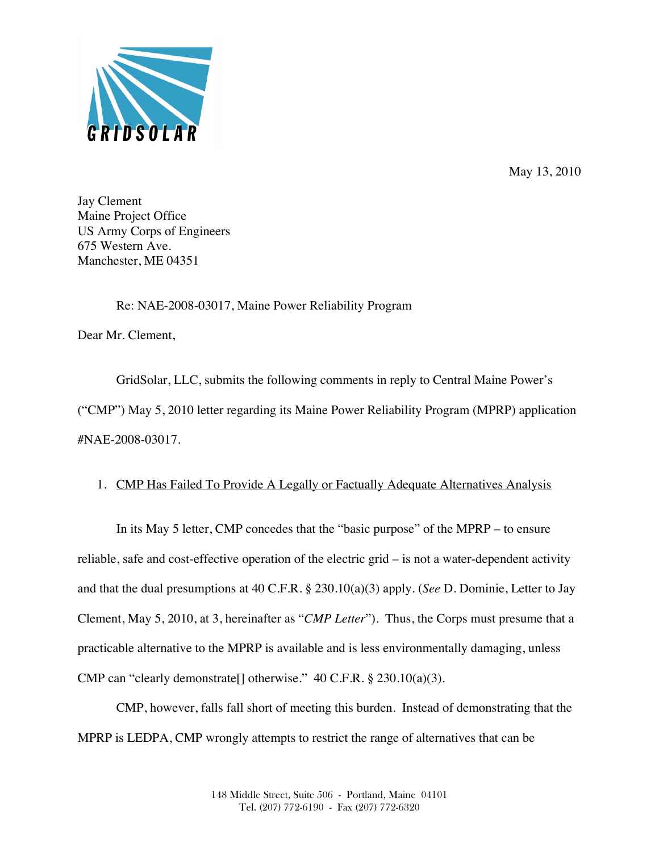

May 13, 2010

Jay Clement Maine Project Office US Army Corps of Engineers 675 Western Ave. Manchester, ME 04351

Re: NAE-2008-03017, Maine Power Reliability Program

Dear Mr. Clement,

GridSolar, LLC, submits the following comments in reply to Central Maine Power's ("CMP") May 5, 2010 letter regarding its Maine Power Reliability Program (MPRP) application #NAE-2008-03017.

## 1. CMP Has Failed To Provide A Legally or Factually Adequate Alternatives Analysis

In its May 5 letter, CMP concedes that the "basic purpose" of the MPRP – to ensure reliable, safe and cost-effective operation of the electric grid – is not a water-dependent activity and that the dual presumptions at 40 C.F.R. § 230.10(a)(3) apply. (*See* D. Dominie, Letter to Jay Clement, May 5, 2010, at 3, hereinafter as "*CMP Letter*"). Thus, the Corps must presume that a practicable alternative to the MPRP is available and is less environmentally damaging, unless CMP can "clearly demonstrate[] otherwise." 40 C.F.R. § 230.10(a)(3).

CMP, however, falls fall short of meeting this burden. Instead of demonstrating that the MPRP is LEDPA, CMP wrongly attempts to restrict the range of alternatives that can be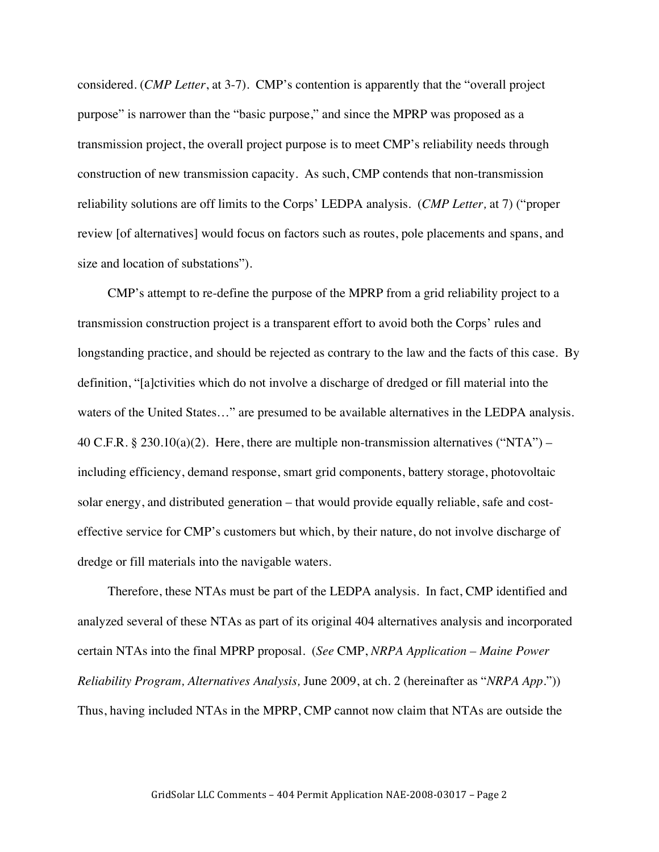considered. (*CMP Letter*, at 3-7). CMP's contention is apparently that the "overall project purpose" is narrower than the "basic purpose," and since the MPRP was proposed as a transmission project, the overall project purpose is to meet CMP's reliability needs through construction of new transmission capacity. As such, CMP contends that non-transmission reliability solutions are off limits to the Corps' LEDPA analysis. (*CMP Letter,* at 7) ("proper review [of alternatives] would focus on factors such as routes, pole placements and spans, and size and location of substations").

CMP's attempt to re-define the purpose of the MPRP from a grid reliability project to a transmission construction project is a transparent effort to avoid both the Corps' rules and longstanding practice, and should be rejected as contrary to the law and the facts of this case. By definition, "[a]ctivities which do not involve a discharge of dredged or fill material into the waters of the United States…" are presumed to be available alternatives in the LEDPA analysis. 40 C.F.R. § 230.10(a)(2). Here, there are multiple non-transmission alternatives ("NTA") – including efficiency, demand response, smart grid components, battery storage, photovoltaic solar energy, and distributed generation – that would provide equally reliable, safe and costeffective service for CMP's customers but which, by their nature, do not involve discharge of dredge or fill materials into the navigable waters.

Therefore, these NTAs must be part of the LEDPA analysis. In fact, CMP identified and analyzed several of these NTAs as part of its original 404 alternatives analysis and incorporated certain NTAs into the final MPRP proposal. (*See* CMP, *NRPA Application – Maine Power Reliability Program, Alternatives Analysis,* June 2009, at ch. 2 (hereinafter as "*NRPA App*.")) Thus, having included NTAs in the MPRP, CMP cannot now claim that NTAs are outside the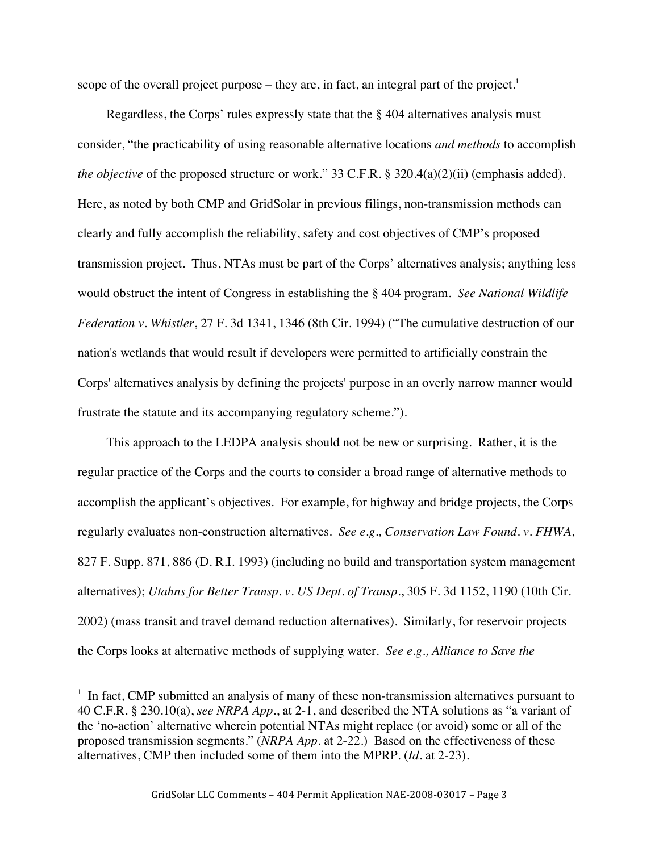scope of the overall project purpose – they are, in fact, an integral part of the project.<sup>1</sup>

Regardless, the Corps' rules expressly state that the § 404 alternatives analysis must consider, "the practicability of using reasonable alternative locations *and methods* to accomplish *the objective* of the proposed structure or work." 33 C.F.R. § 320.4(a)(2)(ii) (emphasis added). Here, as noted by both CMP and GridSolar in previous filings, non-transmission methods can clearly and fully accomplish the reliability, safety and cost objectives of CMP's proposed transmission project. Thus, NTAs must be part of the Corps' alternatives analysis; anything less would obstruct the intent of Congress in establishing the § 404 program. *See National Wildlife Federation v. Whistler*, 27 F. 3d 1341, 1346 (8th Cir. 1994) ("The cumulative destruction of our nation's wetlands that would result if developers were permitted to artificially constrain the Corps' alternatives analysis by defining the projects' purpose in an overly narrow manner would frustrate the statute and its accompanying regulatory scheme.").

This approach to the LEDPA analysis should not be new or surprising. Rather, it is the regular practice of the Corps and the courts to consider a broad range of alternative methods to accomplish the applicant's objectives. For example, for highway and bridge projects, the Corps regularly evaluates non-construction alternatives. *See e.g., Conservation Law Found. v. FHWA*, 827 F. Supp. 871, 886 (D. R.I. 1993) (including no build and transportation system management alternatives); *Utahns for Better Transp. v. US Dept. of Transp*., 305 F. 3d 1152, 1190 (10th Cir. 2002) (mass transit and travel demand reduction alternatives). Similarly, for reservoir projects the Corps looks at alternative methods of supplying water. *See e.g., Alliance to Save the* 

 $1$  In fact, CMP submitted an analysis of many of these non-transmission alternatives pursuant to 40 C.F.R. § 230.10(a), *see NRPA App*., at 2-1, and described the NTA solutions as "a variant of the 'no-action' alternative wherein potential NTAs might replace (or avoid) some or all of the proposed transmission segments." (*NRPA App*. at 2-22.) Based on the effectiveness of these alternatives, CMP then included some of them into the MPRP. (*Id*. at 2-23).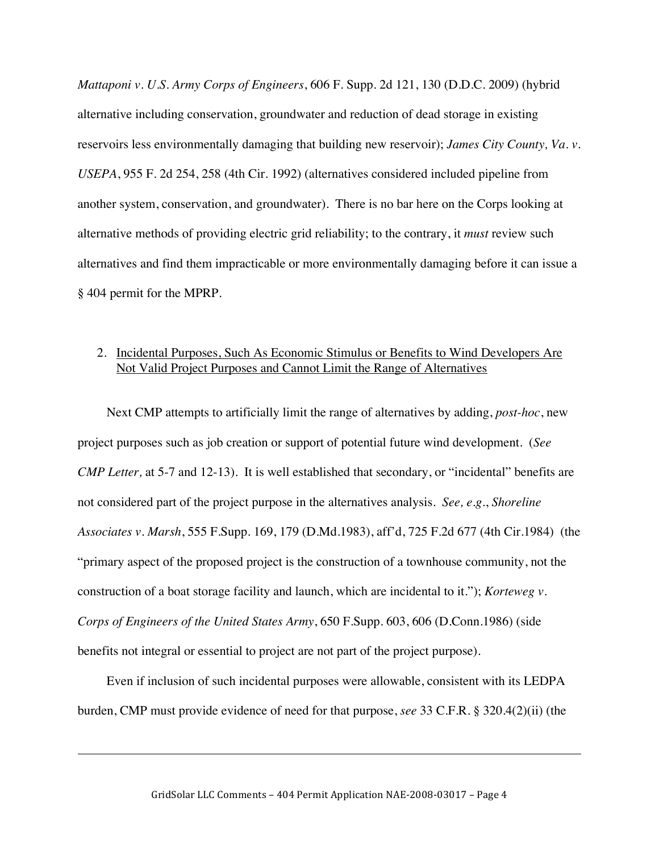*Mattaponi v. U.S. Army Corps of Engineers*, 606 F. Supp. 2d 121, 130 (D.D.C. 2009) (hybrid alternative including conservation, groundwater and reduction of dead storage in existing reservoirs less environmentally damaging that building new reservoir); *James City County, Va. v. USEPA*, 955 F. 2d 254, 258 (4th Cir. 1992) (alternatives considered included pipeline from another system, conservation, and groundwater). There is no bar here on the Corps looking at alternative methods of providing electric grid reliability; to the contrary, it *must* review such alternatives and find them impracticable or more environmentally damaging before it can issue a § 404 permit for the MPRP.

#### 2. Incidental Purposes, Such As Economic Stimulus or Benefits to Wind Developers Are Not Valid Project Purposes and Cannot Limit the Range of Alternatives

Next CMP attempts to artificially limit the range of alternatives by adding, *post-hoc*, new project purposes such as job creation or support of potential future wind development. (*See CMP Letter,* at 5-7 and 12-13). It is well established that secondary, or "incidental" benefits are not considered part of the project purpose in the alternatives analysis. *See, e.g*., *Shoreline Associates v. Marsh*, 555 F.Supp. 169, 179 (D.Md.1983), aff'd, 725 F.2d 677 (4th Cir.1984) (the "primary aspect of the proposed project is the construction of a townhouse community, not the construction of a boat storage facility and launch, which are incidental to it."); *Korteweg v. Corps of Engineers of the United States Army*, 650 F.Supp. 603, 606 (D.Conn.1986) (side benefits not integral or essential to project are not part of the project purpose).

Even if inclusion of such incidental purposes were allowable, consistent with its LEDPA burden, CMP must provide evidence of need for that purpose, *see* 33 C.F.R. § 320.4(2)(ii) (the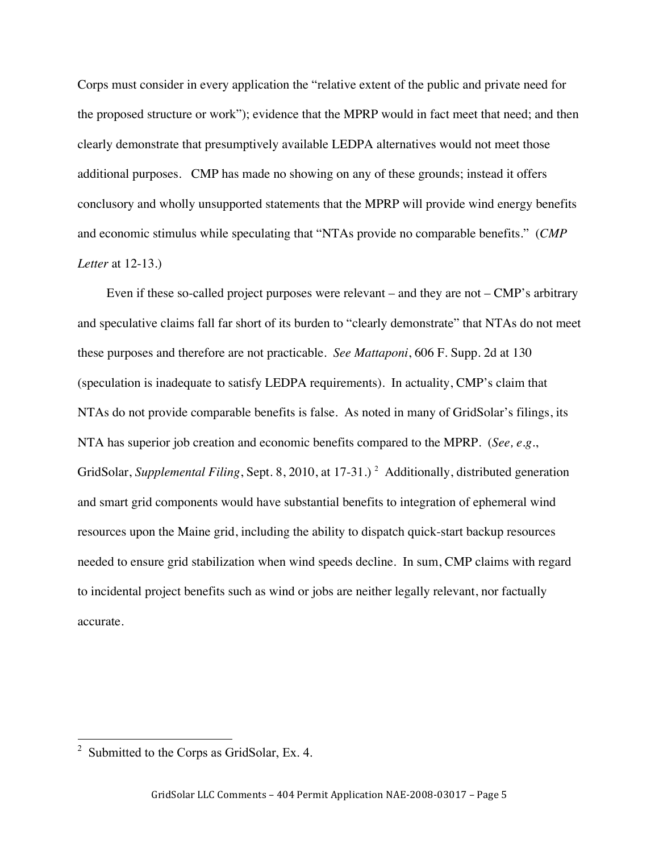Corps must consider in every application the "relative extent of the public and private need for the proposed structure or work"); evidence that the MPRP would in fact meet that need; and then clearly demonstrate that presumptively available LEDPA alternatives would not meet those additional purposes. CMP has made no showing on any of these grounds; instead it offers conclusory and wholly unsupported statements that the MPRP will provide wind energy benefits and economic stimulus while speculating that "NTAs provide no comparable benefits." (*CMP Letter* at 12-13.)

Even if these so-called project purposes were relevant – and they are not – CMP's arbitrary and speculative claims fall far short of its burden to "clearly demonstrate" that NTAs do not meet these purposes and therefore are not practicable. *See Mattaponi*, 606 F. Supp. 2d at 130 (speculation is inadequate to satisfy LEDPA requirements). In actuality, CMP's claim that NTAs do not provide comparable benefits is false. As noted in many of GridSolar's filings, its NTA has superior job creation and economic benefits compared to the MPRP. (*See, e.g*., GridSolar, *Supplemental Filing*, Sept. 8, 2010, at 17-31.)<sup>2</sup> Additionally, distributed generation and smart grid components would have substantial benefits to integration of ephemeral wind resources upon the Maine grid, including the ability to dispatch quick-start backup resources needed to ensure grid stabilization when wind speeds decline. In sum, CMP claims with regard to incidental project benefits such as wind or jobs are neither legally relevant, nor factually accurate.

<sup>&</sup>lt;sup>2</sup> Submitted to the Corps as GridSolar, Ex. 4.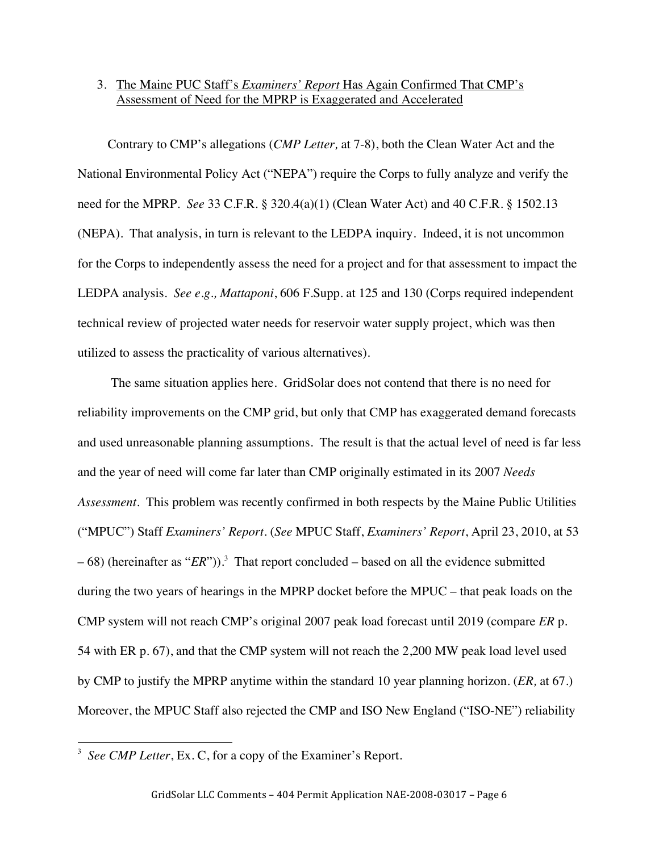# 3. The Maine PUC Staff's *Examiners' Report* Has Again Confirmed That CMP's Assessment of Need for the MPRP is Exaggerated and Accelerated

Contrary to CMP's allegations (*CMP Letter,* at 7-8), both the Clean Water Act and the National Environmental Policy Act ("NEPA") require the Corps to fully analyze and verify the need for the MPRP. *See* 33 C.F.R. § 320.4(a)(1) (Clean Water Act) and 40 C.F.R. § 1502.13 (NEPA). That analysis, in turn is relevant to the LEDPA inquiry. Indeed, it is not uncommon for the Corps to independently assess the need for a project and for that assessment to impact the LEDPA analysis. *See e.g., Mattaponi*, 606 F.Supp. at 125 and 130 (Corps required independent technical review of projected water needs for reservoir water supply project, which was then utilized to assess the practicality of various alternatives).

The same situation applies here. GridSolar does not contend that there is no need for reliability improvements on the CMP grid, but only that CMP has exaggerated demand forecasts and used unreasonable planning assumptions. The result is that the actual level of need is far less and the year of need will come far later than CMP originally estimated in its 2007 *Needs Assessment*. This problem was recently confirmed in both respects by the Maine Public Utilities ("MPUC") Staff *Examiners' Report.* (*See* MPUC Staff, *Examiners' Report*, April 23, 2010, at 53  $-68$ ) (hereinafter as "*ER*")).<sup>3</sup> That report concluded – based on all the evidence submitted during the two years of hearings in the MPRP docket before the MPUC – that peak loads on the CMP system will not reach CMP's original 2007 peak load forecast until 2019 (compare *ER* p. 54 with ER p. 67), and that the CMP system will not reach the 2,200 MW peak load level used by CMP to justify the MPRP anytime within the standard 10 year planning horizon. (*ER,* at 67.) Moreover, the MPUC Staff also rejected the CMP and ISO New England ("ISO-NE") reliability

<sup>&</sup>lt;sup>3</sup> See CMP Letter, Ex. C, for a copy of the Examiner's Report.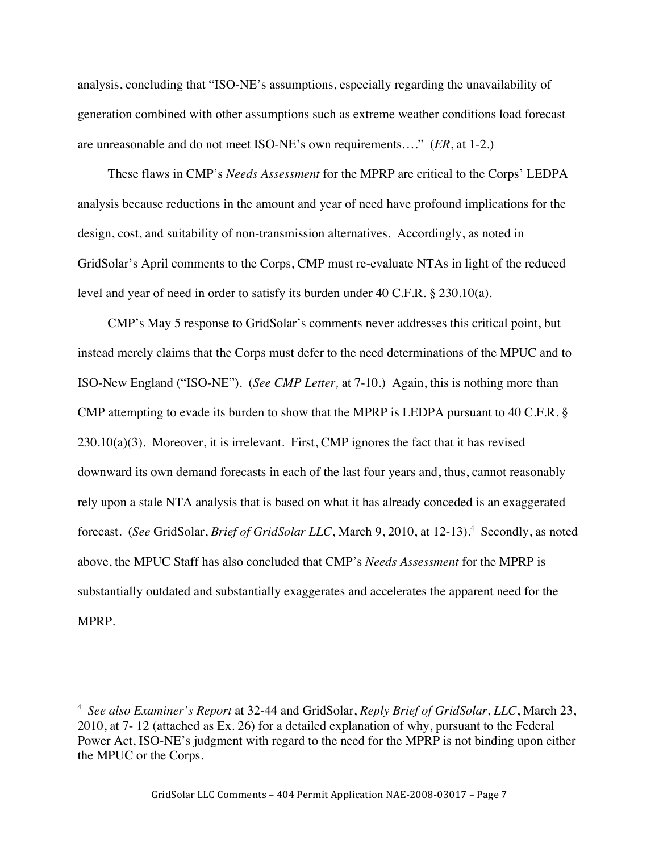analysis, concluding that "ISO-NE's assumptions, especially regarding the unavailability of generation combined with other assumptions such as extreme weather conditions load forecast are unreasonable and do not meet ISO-NE's own requirements…." (*ER*, at 1-2.)

These flaws in CMP's *Needs Assessment* for the MPRP are critical to the Corps' LEDPA analysis because reductions in the amount and year of need have profound implications for the design, cost, and suitability of non-transmission alternatives. Accordingly, as noted in GridSolar's April comments to the Corps, CMP must re-evaluate NTAs in light of the reduced level and year of need in order to satisfy its burden under 40 C.F.R. § 230.10(a).

CMP's May 5 response to GridSolar's comments never addresses this critical point, but instead merely claims that the Corps must defer to the need determinations of the MPUC and to ISO-New England ("ISO-NE"). (*See CMP Letter,* at 7-10.) Again, this is nothing more than CMP attempting to evade its burden to show that the MPRP is LEDPA pursuant to 40 C.F.R. §  $230.10(a)(3)$ . Moreover, it is irrelevant. First, CMP ignores the fact that it has revised downward its own demand forecasts in each of the last four years and, thus, cannot reasonably rely upon a stale NTA analysis that is based on what it has already conceded is an exaggerated forecast. (See GridSolar, *Brief of GridSolar LLC*, March 9, 2010, at 12-13).<sup>4</sup> Secondly, as noted above, the MPUC Staff has also concluded that CMP's *Needs Assessment* for the MPRP is substantially outdated and substantially exaggerates and accelerates the apparent need for the MPRP.

<sup>4</sup> *See also Examiner's Report* at 32-44 and GridSolar, *Reply Brief of GridSolar, LLC*, March 23, 2010, at 7- 12 (attached as Ex. 26) for a detailed explanation of why, pursuant to the Federal Power Act, ISO-NE's judgment with regard to the need for the MPRP is not binding upon either the MPUC or the Corps.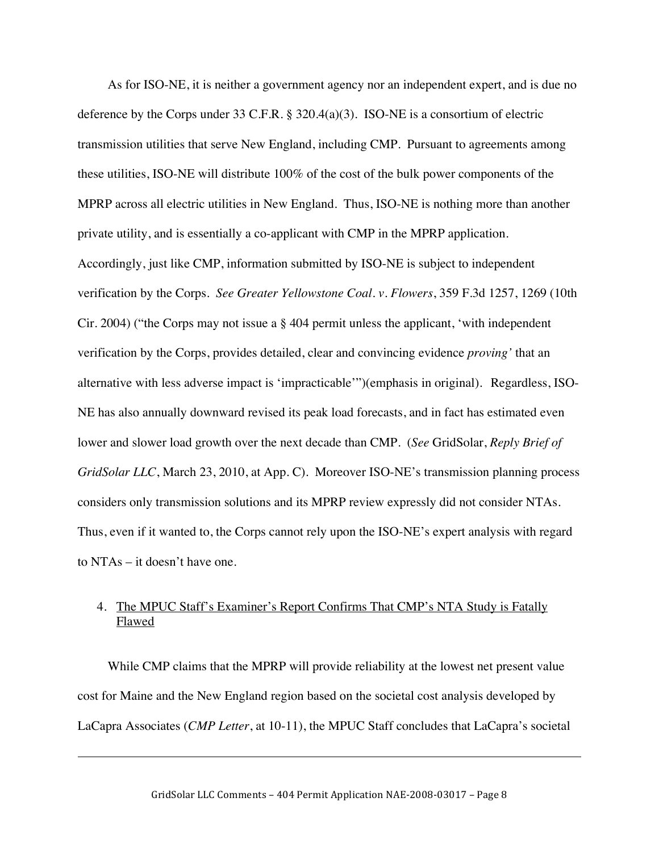As for ISO-NE, it is neither a government agency nor an independent expert, and is due no deference by the Corps under 33 C.F.R. § 320.4(a)(3). ISO-NE is a consortium of electric transmission utilities that serve New England, including CMP. Pursuant to agreements among these utilities, ISO-NE will distribute 100% of the cost of the bulk power components of the MPRP across all electric utilities in New England. Thus, ISO-NE is nothing more than another private utility, and is essentially a co-applicant with CMP in the MPRP application. Accordingly, just like CMP, information submitted by ISO-NE is subject to independent verification by the Corps. *See Greater Yellowstone Coal. v. Flowers*, 359 F.3d 1257, 1269 (10th Cir. 2004) ("the Corps may not issue a § 404 permit unless the applicant, 'with independent verification by the Corps, provides detailed, clear and convincing evidence *proving'* that an alternative with less adverse impact is 'impracticable'")(emphasis in original). Regardless, ISO-NE has also annually downward revised its peak load forecasts, and in fact has estimated even lower and slower load growth over the next decade than CMP. (*See* GridSolar, *Reply Brief of GridSolar LLC*, March 23, 2010, at App. C). Moreover ISO-NE's transmission planning process considers only transmission solutions and its MPRP review expressly did not consider NTAs. Thus, even if it wanted to, the Corps cannot rely upon the ISO-NE's expert analysis with regard to NTAs – it doesn't have one.

## 4. The MPUC Staff's Examiner's Report Confirms That CMP's NTA Study is Fatally Flawed

While CMP claims that the MPRP will provide reliability at the lowest net present value cost for Maine and the New England region based on the societal cost analysis developed by LaCapra Associates (*CMP Letter*, at 10-11), the MPUC Staff concludes that LaCapra's societal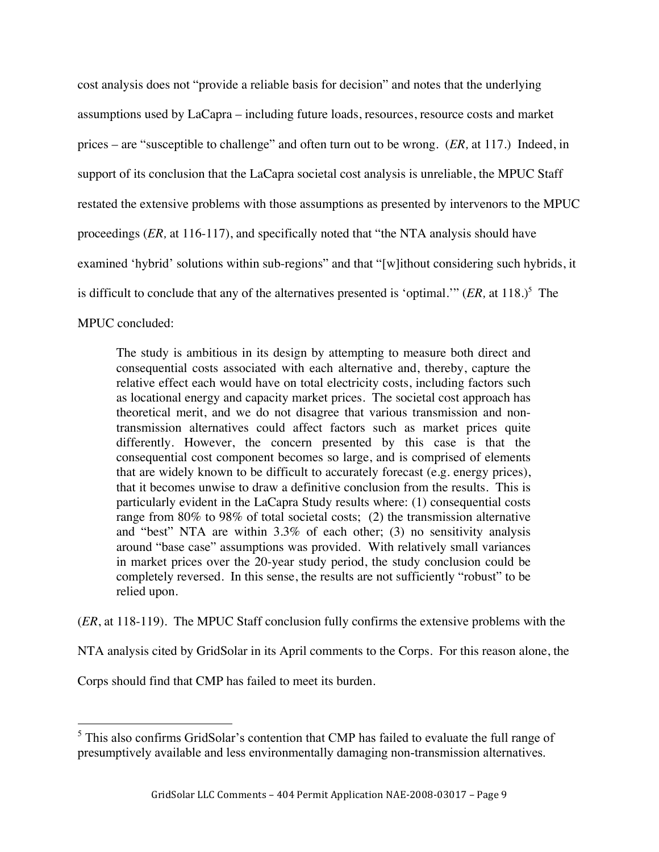cost analysis does not "provide a reliable basis for decision" and notes that the underlying assumptions used by LaCapra – including future loads, resources, resource costs and market prices – are "susceptible to challenge" and often turn out to be wrong. (*ER,* at 117.) Indeed, in support of its conclusion that the LaCapra societal cost analysis is unreliable, the MPUC Staff restated the extensive problems with those assumptions as presented by intervenors to the MPUC proceedings (*ER,* at 116-117), and specifically noted that "the NTA analysis should have examined 'hybrid' solutions within sub-regions" and that "[w]ithout considering such hybrids, it is difficult to conclude that any of the alternatives presented is 'optimal.'"  $(ER, at 118.)^5$  The

MPUC concluded:

The study is ambitious in its design by attempting to measure both direct and consequential costs associated with each alternative and, thereby, capture the relative effect each would have on total electricity costs, including factors such as locational energy and capacity market prices. The societal cost approach has theoretical merit, and we do not disagree that various transmission and nontransmission alternatives could affect factors such as market prices quite differently. However, the concern presented by this case is that the consequential cost component becomes so large, and is comprised of elements that are widely known to be difficult to accurately forecast (e.g. energy prices), that it becomes unwise to draw a definitive conclusion from the results. This is particularly evident in the LaCapra Study results where: (1) consequential costs range from 80% to 98% of total societal costs; (2) the transmission alternative and "best" NTA are within 3.3% of each other; (3) no sensitivity analysis around "base case" assumptions was provided. With relatively small variances in market prices over the 20-year study period, the study conclusion could be completely reversed. In this sense, the results are not sufficiently "robust" to be relied upon.

(*ER*, at 118-119). The MPUC Staff conclusion fully confirms the extensive problems with the

NTA analysis cited by GridSolar in its April comments to the Corps. For this reason alone, the

Corps should find that CMP has failed to meet its burden.

<sup>&</sup>lt;sup>5</sup> This also confirms GridSolar's contention that CMP has failed to evaluate the full range of presumptively available and less environmentally damaging non-transmission alternatives.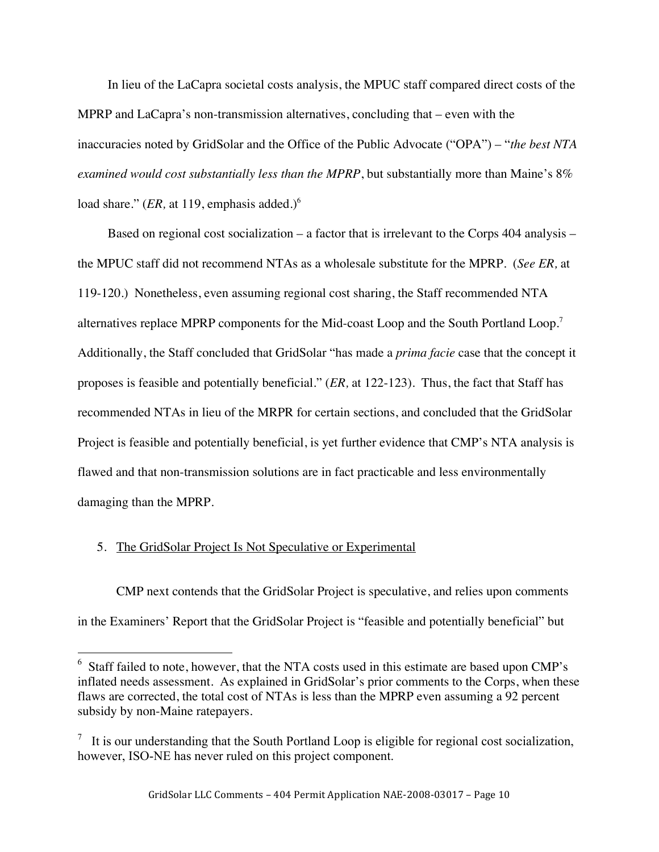In lieu of the LaCapra societal costs analysis, the MPUC staff compared direct costs of the MPRP and LaCapra's non-transmission alternatives, concluding that – even with the inaccuracies noted by GridSolar and the Office of the Public Advocate ("OPA") – "*the best NTA examined would cost substantially less than the MPRP*, but substantially more than Maine's 8% load share." (*ER*, at 119, emphasis added.)<sup>6</sup>

Based on regional cost socialization – a factor that is irrelevant to the Corps 404 analysis – the MPUC staff did not recommend NTAs as a wholesale substitute for the MPRP. (*See ER,* at 119-120.) Nonetheless, even assuming regional cost sharing, the Staff recommended NTA alternatives replace MPRP components for the Mid-coast Loop and the South Portland Loop.<sup>7</sup> Additionally, the Staff concluded that GridSolar "has made a *prima facie* case that the concept it proposes is feasible and potentially beneficial." (*ER,* at 122-123). Thus, the fact that Staff has recommended NTAs in lieu of the MRPR for certain sections, and concluded that the GridSolar Project is feasible and potentially beneficial, is yet further evidence that CMP's NTA analysis is flawed and that non-transmission solutions are in fact practicable and less environmentally damaging than the MPRP.

### 5. The GridSolar Project Is Not Speculative or Experimental

CMP next contends that the GridSolar Project is speculative, and relies upon comments in the Examiners' Report that the GridSolar Project is "feasible and potentially beneficial" but

 $6$  Staff failed to note, however, that the NTA costs used in this estimate are based upon CMP's inflated needs assessment. As explained in GridSolar's prior comments to the Corps, when these flaws are corrected, the total cost of NTAs is less than the MPRP even assuming a 92 percent subsidy by non-Maine ratepayers.

 $\frac{7}{1}$  It is our understanding that the South Portland Loop is eligible for regional cost socialization, however, ISO-NE has never ruled on this project component.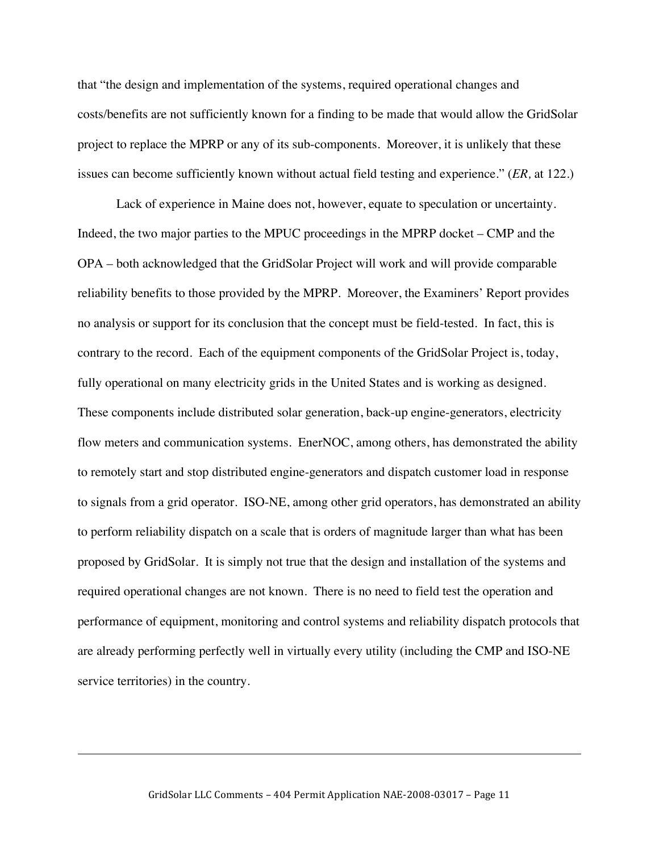that "the design and implementation of the systems, required operational changes and costs/benefits are not sufficiently known for a finding to be made that would allow the GridSolar project to replace the MPRP or any of its sub-components. Moreover, it is unlikely that these issues can become sufficiently known without actual field testing and experience." (*ER,* at 122.)

Lack of experience in Maine does not, however, equate to speculation or uncertainty. Indeed, the two major parties to the MPUC proceedings in the MPRP docket – CMP and the OPA – both acknowledged that the GridSolar Project will work and will provide comparable reliability benefits to those provided by the MPRP. Moreover, the Examiners' Report provides no analysis or support for its conclusion that the concept must be field-tested. In fact, this is contrary to the record. Each of the equipment components of the GridSolar Project is, today, fully operational on many electricity grids in the United States and is working as designed. These components include distributed solar generation, back-up engine-generators, electricity flow meters and communication systems. EnerNOC, among others, has demonstrated the ability to remotely start and stop distributed engine-generators and dispatch customer load in response to signals from a grid operator. ISO-NE, among other grid operators, has demonstrated an ability to perform reliability dispatch on a scale that is orders of magnitude larger than what has been proposed by GridSolar. It is simply not true that the design and installation of the systems and required operational changes are not known. There is no need to field test the operation and performance of equipment, monitoring and control systems and reliability dispatch protocols that are already performing perfectly well in virtually every utility (including the CMP and ISO-NE service territories) in the country.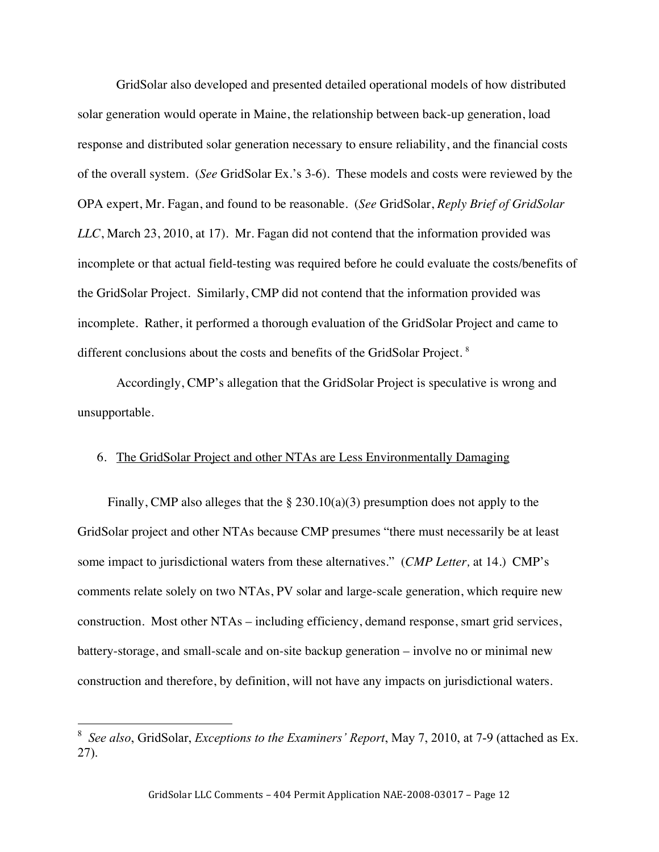GridSolar also developed and presented detailed operational models of how distributed solar generation would operate in Maine, the relationship between back-up generation, load response and distributed solar generation necessary to ensure reliability, and the financial costs of the overall system. (*See* GridSolar Ex.'s 3-6). These models and costs were reviewed by the OPA expert, Mr. Fagan, and found to be reasonable. (*See* GridSolar, *Reply Brief of GridSolar LLC*, March 23, 2010, at 17). Mr. Fagan did not contend that the information provided was incomplete or that actual field-testing was required before he could evaluate the costs/benefits of the GridSolar Project. Similarly, CMP did not contend that the information provided was incomplete. Rather, it performed a thorough evaluation of the GridSolar Project and came to different conclusions about the costs and benefits of the GridSolar Project.<sup>8</sup>

Accordingly, CMP's allegation that the GridSolar Project is speculative is wrong and unsupportable.

#### 6. The GridSolar Project and other NTAs are Less Environmentally Damaging

Finally, CMP also alleges that the § 230.10(a)(3) presumption does not apply to the GridSolar project and other NTAs because CMP presumes "there must necessarily be at least some impact to jurisdictional waters from these alternatives." (*CMP Letter,* at 14.) CMP's comments relate solely on two NTAs, PV solar and large-scale generation, which require new construction. Most other NTAs – including efficiency, demand response, smart grid services, battery-storage, and small-scale and on-site backup generation – involve no or minimal new construction and therefore, by definition, will not have any impacts on jurisdictional waters.

 <sup>8</sup> *See also*, GridSolar, *Exceptions to the Examiners' Report*, May 7, 2010, at 7-9 (attached as Ex. 27).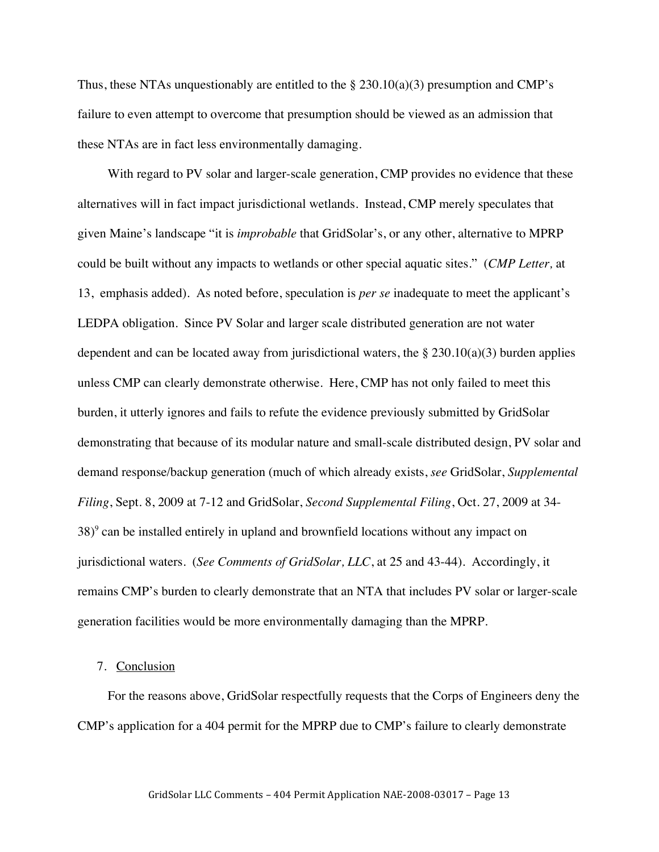Thus, these NTAs unquestionably are entitled to the  $\S 230.10(a)(3)$  presumption and CMP's failure to even attempt to overcome that presumption should be viewed as an admission that these NTAs are in fact less environmentally damaging.

With regard to PV solar and larger-scale generation, CMP provides no evidence that these alternatives will in fact impact jurisdictional wetlands. Instead, CMP merely speculates that given Maine's landscape "it is *improbable* that GridSolar's, or any other, alternative to MPRP could be built without any impacts to wetlands or other special aquatic sites." (*CMP Letter,* at 13, emphasis added). As noted before, speculation is *per se* inadequate to meet the applicant's LEDPA obligation. Since PV Solar and larger scale distributed generation are not water dependent and can be located away from jurisdictional waters, the  $\S 230.10(a)(3)$  burden applies unless CMP can clearly demonstrate otherwise. Here, CMP has not only failed to meet this burden, it utterly ignores and fails to refute the evidence previously submitted by GridSolar demonstrating that because of its modular nature and small-scale distributed design, PV solar and demand response/backup generation (much of which already exists, *see* GridSolar, *Supplemental Filing*, Sept. 8, 2009 at 7-12 and GridSolar, *Second Supplemental Filing*, Oct. 27, 2009 at 34- 38) 9 can be installed entirely in upland and brownfield locations without any impact on jurisdictional waters. (*See Comments of GridSolar, LLC*, at 25 and 43-44). Accordingly, it remains CMP's burden to clearly demonstrate that an NTA that includes PV solar or larger-scale generation facilities would be more environmentally damaging than the MPRP.

#### 7. Conclusion

For the reasons above, GridSolar respectfully requests that the Corps of Engineers deny the CMP's application for a 404 permit for the MPRP due to CMP's failure to clearly demonstrate